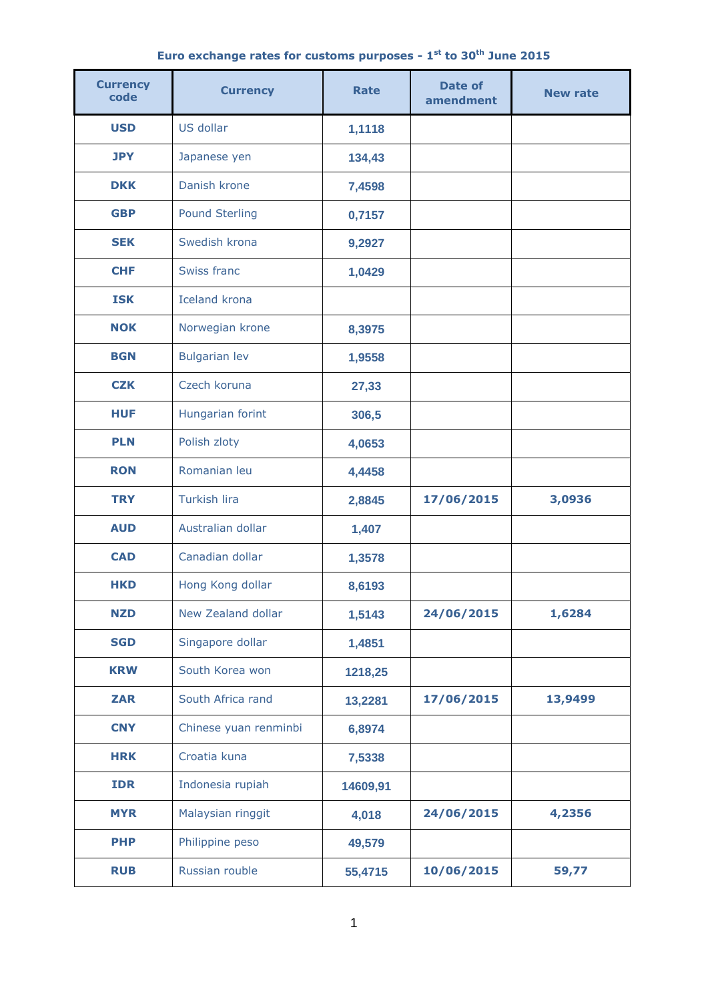|  | Euro exchange rates for customs purposes - 1 <sup>st</sup> to 30 <sup>th</sup> June 2015 |  |  |  |  |  |  |  |  |  |  |
|--|------------------------------------------------------------------------------------------|--|--|--|--|--|--|--|--|--|--|
|--|------------------------------------------------------------------------------------------|--|--|--|--|--|--|--|--|--|--|

| <b>Currency</b><br>code | <b>Currency</b>       | <b>Rate</b> | <b>Date of</b><br>amendment | <b>New rate</b> |  |
|-------------------------|-----------------------|-------------|-----------------------------|-----------------|--|
| <b>USD</b>              | US dollar             | 1,1118      |                             |                 |  |
| <b>JPY</b>              | Japanese yen          | 134,43      |                             |                 |  |
| <b>DKK</b>              | Danish krone          | 7,4598      |                             |                 |  |
| <b>GBP</b>              | <b>Pound Sterling</b> | 0,7157      |                             |                 |  |
| <b>SEK</b>              | Swedish krona         | 9,2927      |                             |                 |  |
| <b>CHF</b>              | Swiss franc           | 1,0429      |                             |                 |  |
| <b>ISK</b>              | <b>Iceland krona</b>  |             |                             |                 |  |
| <b>NOK</b>              | Norwegian krone       | 8,3975      |                             |                 |  |
| <b>BGN</b>              | <b>Bulgarian lev</b>  | 1,9558      |                             |                 |  |
| <b>CZK</b>              | Czech koruna          | 27,33       |                             |                 |  |
| <b>HUF</b>              | Hungarian forint      | 306,5       |                             |                 |  |
| <b>PLN</b>              | Polish zloty          | 4,0653      |                             |                 |  |
| <b>RON</b>              | Romanian leu          | 4,4458      |                             |                 |  |
| <b>TRY</b>              | <b>Turkish lira</b>   | 2,8845      | 17/06/2015                  | 3,0936          |  |
| <b>AUD</b>              | Australian dollar     | 1,407       |                             |                 |  |
| <b>CAD</b>              | Canadian dollar       | 1,3578      |                             |                 |  |
| HKD                     | Hong Kong dollar      | 8,6193      |                             |                 |  |
| <b>NZD</b>              | New Zealand dollar    | 1,5143      | 24/06/2015                  | 1,6284          |  |
| <b>SGD</b>              | Singapore dollar      | 1,4851      |                             |                 |  |
| <b>KRW</b>              | South Korea won       | 1218,25     |                             |                 |  |
| <b>ZAR</b>              | South Africa rand     | 13,2281     | 17/06/2015                  | 13,9499         |  |
| <b>CNY</b>              | Chinese yuan renminbi | 6,8974      |                             |                 |  |
| <b>HRK</b>              | Croatia kuna          | 7,5338      |                             |                 |  |
| <b>IDR</b>              | Indonesia rupiah      | 14609,91    |                             |                 |  |
| <b>MYR</b>              | Malaysian ringgit     | 4,018       | 24/06/2015                  | 4,2356          |  |
| <b>PHP</b>              | Philippine peso       | 49,579      |                             |                 |  |
| <b>RUB</b>              | Russian rouble        | 55,4715     | 10/06/2015                  | 59,77           |  |